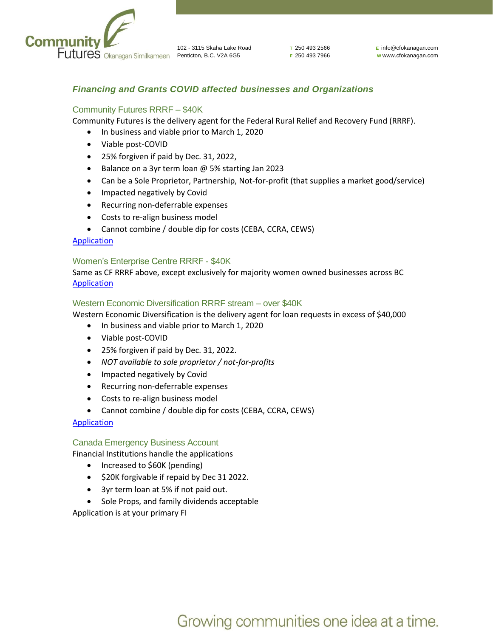

**T** 250 493 2566 **F** 250 493 7966 **E** info@cfokanagan.com **W** www.cfokanagan.com

## *Financing and Grants COVID affected businesses and Organizations*

## Community Futures RRRF – \$40K

Community Futures is the delivery agent for the Federal Rural Relief and Recovery Fund (RRRF).

- In business and viable prior to March 1, 2020
- Viable post-COVID
- 25% forgiven if paid by Dec. 31, 2022,
- Balance on a 3yr term loan @ 5% starting Jan 2023
- Can be a Sole Proprietor, Partnership, Not-for-profit (that supplies a market good/service)
- Impacted negatively by Covid
- Recurring non-deferrable expenses
- Costs to re-align business model
- Cannot combine / double dip for costs (CEBA, CCRA, CEWS)

#### [Application](https://www.cfokanagan.com/covid-loan/)

#### Women's Enterprise Centre RRRF - \$40K

Same as CF RRRF above, except exclusively for majority women owned businesses across BC **[Application](https://www.womensenterprise.ca/business-loans/regional-relief-and-recovery-fund-for-women-entrepreneurs-bc-rrrf/)** 

#### Western Economic Diversification RRRF stream – over \$40K

Western Economic Diversification is the delivery agent for loan requests in excess of \$40,000

- In business and viable prior to March 1, 2020
- Viable post-COVID
- 25% forgiven if paid by Dec. 31, 2022.
- *NOT available to sole proprietor / not-for-profits*
- Impacted negatively by Covid
- Recurring non-deferrable expenses
- Costs to re-align business model
- Cannot combine / double dip for costs (CEBA, CCRA, CEWS)

[Application](https://www.wd-deo.gc.ca/eng/20060.asp)

#### Canada Emergency Business Account

Financial Institutions handle the applications

- Increased to \$60K (pending)
- \$20K forgivable if repaid by Dec 31 2022.
- 3yr term loan at 5% if not paid out.
- Sole Props, and family dividends acceptable

Application is at your primary FI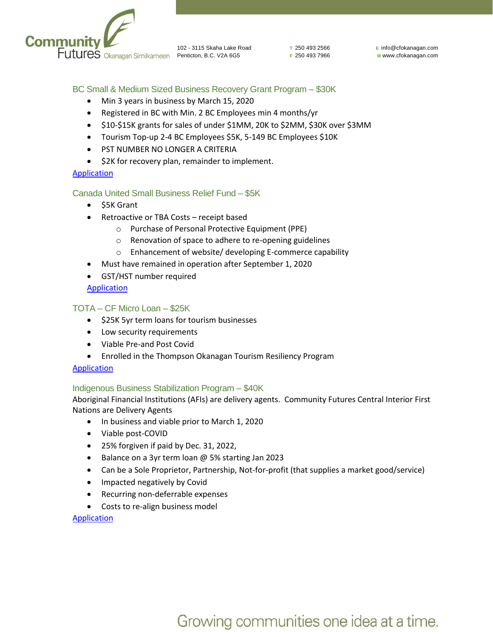

**T** 250 493 2566 **F** 250 493 7966 **E** info@cfokanagan.com **W** www.cfokanagan.com

## BC Small & Medium Sized Business Recovery Grant Program – \$30K

- Min 3 years in business by March 15, 2020
- Registered in BC with Min. 2 BC Employees min 4 months/yr
- \$10-\$15K grants for sales of under \$1MM, 20K to \$2MM, \$30K over \$3MM
- Tourism Top-up 2-4 BC Employees \$5K, 5-149 BC Employees \$10K
- PST NUMBER NO LONGER A CRITERIA
- \$2K for recovery plan, remainder to implement.

#### [Application](https://www2.gov.bc.ca/gov/content/economic-recovery/business-recovery-grant)

#### Canada United Small Business Relief Fund – \$5K

- \$5K Grant
- Retroactive or TBA Costs receipt based
	- o Purchase of Personal Protective Equipment (PPE)
	- o Renovation of space to adhere to re-opening guidelines
	- o Enhancement of website/ developing E-commerce capability
- Must have remained in operation after September 1, 2020
- GST/HST number required

## **[Application](https://occ.ca/canada-united-small-business-relief-fund/)**

## TOTA – CF Micro Loan – \$25K

- \$25K 5yr term loans for tourism businesses
- Low security requirements
- Viable Pre-and Post Covid
- Enrolled in the Thompson Okanagan Tourism Resiliency Program

#### [Application](https://www.totabc.org/directory/2020/8/5/thompson-okanagan-tourism-micro-loan)

#### Indigenous Business Stabilization Program – \$40K

Aboriginal Financial Institutions (AFIs) are delivery agents. Community Futures Central Interior First Nations are Delivery Agents

- In business and viable prior to March 1, 2020
- Viable post-COVID
- 25% forgiven if paid by Dec. 31, 2022,
- Balance on a 3yr term loan @ 5% starting Jan 2023
- Can be a Sole Proprietor, Partnership, Not-for-profit (that supplies a market good/service)
- Impacted negatively by Covid
- Recurring non-deferrable expenses
- Costs to re-align business model

[Application](https://www.antco.ca/downloads/antco-elp-application-fillable.pdf)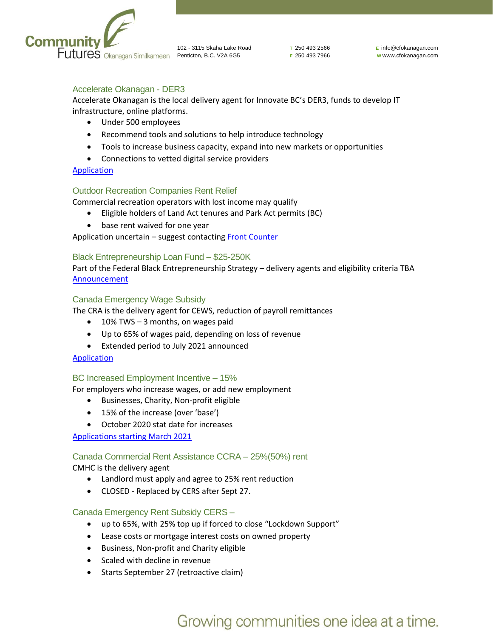

**T** 250 493 2566 **F** 250 493 7966 **E** info@cfokanagan.com **W** www.cfokanagan.com

## Accelerate Okanagan - DER3

Accelerate Okanagan is the local delivery agent for Innovate BC's DER3, funds to develop IT infrastructure, online platforms.

- Under 500 employees
- Recommend tools and solutions to help introduce technology
- Tools to increase business capacity, expand into new markets or opportunities
- Connections to vetted digital service providers

## [Application](https://www.accelerateokanagan.com/programs/der3/)

## Outdoor Recreation Companies Rent Relief

Commercial recreation operators with lost income may qualify

- Eligible holders of Land Act tenures and Park Act permits (BC)
- base rent waived for one year

Application uncertain - suggest contacting **Front Counter** 

#### Black Entrepreneurship Loan Fund – \$25-250K

Part of the Federal Black Entrepreneurship Strategy – delivery agents and eligibility criteria TBA [Announcement](https://pm.gc.ca/en/news/news-releases/2020/09/09/prime-minister-announces-support-black-entrepreneurs-and-business)

#### Canada Emergency Wage Subsidy

The CRA is the delivery agent for CEWS, reduction of payroll remittances

- 10% TWS  $-$  3 months, on wages paid
- Up to 65% of wages paid, depending on loss of revenue
- Extended period to July 2021 announced

#### **[Application](https://www.canada.ca/en/revenue-agency/services/subsidy/emergency-wage-subsidy/cews-how-apply.html#h-2)**

#### BC Increased Employment Incentive – 15%

For employers who increase wages, or add new employment

- Businesses, Charity, Non-profit eligible
- 15% of the increase (over 'base')
- October 2020 stat date for increases

[Applications starting March 2021](https://www2.gov.bc.ca/gov/content/taxes/employer-health-tax/employer-health-tax-overview/increased-employment-incentive)

#### Canada Commercial Rent Assistance CCRA – 25%(50%) rent

CMHC is the delivery agent

- Landlord must apply and agree to 25% rent reduction
- CLOSED Replaced by CERS after Sept 27.

#### Canada Emergency Rent Subsidy CERS –

- up to 65%, with 25% top up if forced to close "Lockdown Support"
- Lease costs or mortgage interest costs on owned property
- Business, Non-profit and Charity eligible
- Scaled with decline in revenue
- Starts September 27 (retroactive claim)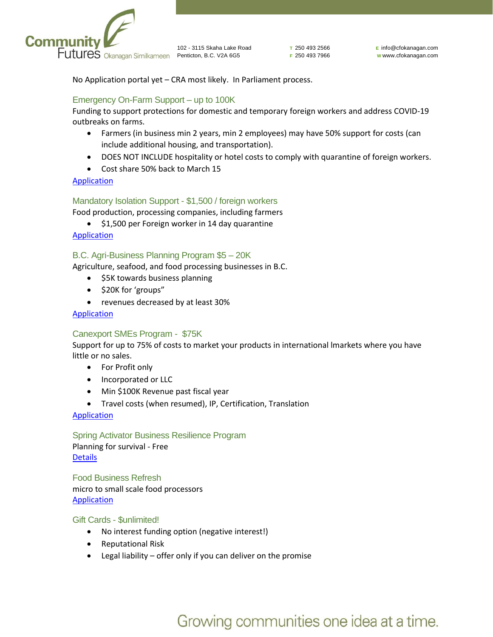

**T** 250 493 2566 **F** 250 493 7966

No Application portal yet – CRA most likely. In Parliament process.

## Emergency On-Farm Support – up to 100K

Funding to support protections for domestic and temporary foreign workers and address COVID-19 outbreaks on farms.

- Farmers (in business min 2 years, min 2 employees) may have 50% support for costs (can include additional housing, and transportation).
- DOES NOT INCLUDE hospitality or hotel costs to comply with quarantine of foreign workers.
- Cost share 50% back to March 15

## [Application](https://iafbc.ca/emergency-on-farm-support-fund/)

#### Mandatory Isolation Support - \$1,500 / foreign workers

Food production, processing companies, including farmers

• \$1,500 per Foreign worker in 14 day quarantine

[Application](https://www.agr.gc.ca/eng/agricultural-programs-and-services/mandatory-isolation-support-for-temporary-foreign-workers-program/?id=1588186409721)

#### B.C. Agri-Business Planning Program \$5 – 20K

Agriculture, seafood, and food processing businesses in B.C.

- \$5K towards business planning
- \$20K for 'groups"
- revenues decreased by at least 30%

## [Application](https://www2.gov.bc.ca/gov/content/industry/agriculture-seafood/programs/agri-business-planning-program)

#### Canexport SMEs Program - \$75K

Support for up to 75% of costs to market your products in international lmarkets where you have little or no sales.

- For Profit only
- Incorporated or LLC
- Min \$100K Revenue past fiscal year
- Travel costs (when resumed), IP, Certification, Translation

#### [Application](https://www.tradecommissioner.gc.ca/funding-financement/canexport/sme-pme/index.aspx?lang=eng)

Spring Activator Business Resilience Program Planning for survival - Free [Details](https://spring.is/business-resilience-program/)

Food Business Refresh micro to small scale food processors [Application](https://www.foodbusinessrefresh.ca/)

Gift Cards - \$unlimited!

- No interest funding option (negative interest!)
- Reputational Risk
- Legal liability offer only if you can deliver on the promise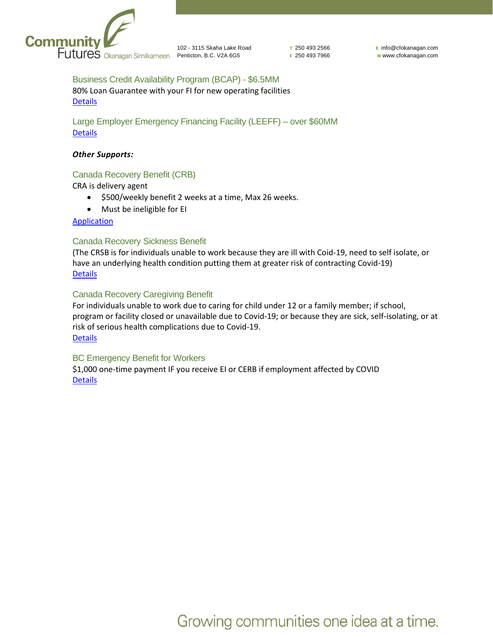

**T** 250 493 2566 **F** 250 493 7966 **E** info@cfokanagan.com **W** www.cfokanagan.com

Business Credit Availability Program (BCAP) - \$6.5MM 80% Loan Guarantee with your FI for new operating facilities **[Details](https://www.edc.ca/en/campaign/bcap-guarantee-financing.html)** 

Large Employer Emergency Financing Facility (LEEFF) – over \$60MM **[Details](https://www.cdev.gc.ca/leeff-factsheet/)** 

#### *Other Supports:*

## Canada Recovery Benefit (CRB)

CRA is delivery agent

- \$500/weekly benefit 2 weeks at a time, Max 26 weeks.
- Must be ineligible for EI

## **[Application](https://www.canada.ca/en/revenue-agency/services/benefits/recovery-benefit.html)**

## Canada Recovery Sickness Benefit

(The CRSB is for individuals unable to work because they are ill with Coid-19, need to self isolate, or have an underlying health condition putting them at greater risk of contracting Covid-19) **[Details](https://www.canada.ca/en/revenue-agency/services/benefits/recovery-sickness-benefit.html)** 

## Canada Recovery Caregiving Benefit

For individuals unable to work due to caring for child under 12 or a family member; if school, program or facility closed or unavailable due to Covid-19; or because they are sick, self-isolating, or at risk of serious health complications due to Covid-19. **[Details](https://www.canada.ca/en/revenue-agency/services/benefits/recovery-caregiving-benefit.html)** 

#### BC Emergency Benefit for Workers

\$1,000 one-time payment IF you receive EI or CERB if employment affected by COVID **[Details](https://www2.gov.bc.ca/gov/content/employment-business/covid-19-financial-supports/emergency-benefit-workers)**